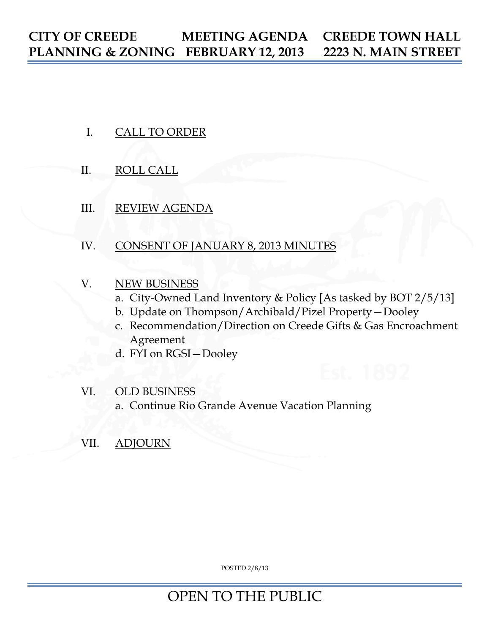- I. CALL TO ORDER
- II. ROLL CALL
- III. REVIEW AGENDA
- IV. CONSENT OF JANUARY 8, 2013 MINUTES
- V. NEW BUSINESS
	- a. City-Owned Land Inventory & Policy [As tasked by BOT 2/5/13]
	- b. Update on Thompson/Archibald/Pizel Property—Dooley
	- c. Recommendation/Direction on Creede Gifts & Gas Encroachment Agreement
	- d. FYI on RGSI—Dooley
- VI. OLD BUSINESS a. Continue Rio Grande Avenue Vacation Planning
- VII. ADJOURN

POSTED 2/8/13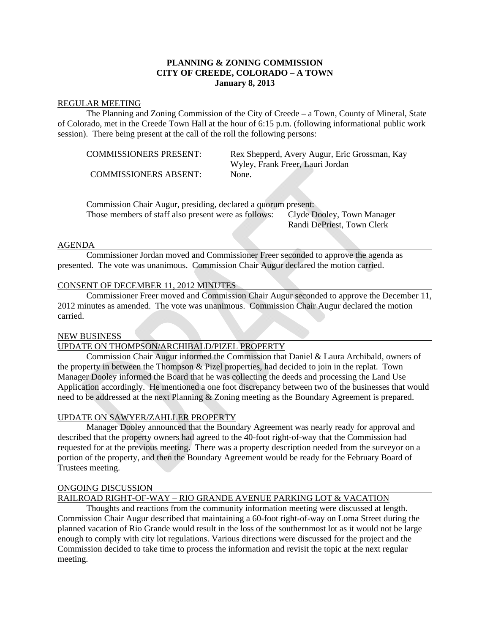# **PLANNING & ZONING COMMISSION CITY OF CREEDE, COLORADO – A TOWN January 8, 2013**

#### REGULAR MEETING

 The Planning and Zoning Commission of the City of Creede – a Town, County of Mineral, State of Colorado, met in the Creede Town Hall at the hour of 6:15 p.m. (following informational public work session). There being present at the call of the roll the following persons:

COMMISSIONERS ABSENT: None.

 COMMISSIONERS PRESENT: Rex Shepperd, Avery Augur, Eric Grossman, Kay Wyley, Frank Freer, Lauri Jordan

 Commission Chair Augur, presiding, declared a quorum present: Those members of staff also present were as follows: Clyde Dooley, Town Manager Randi DePriest, Town Clerk

### AGENDA

 Commissioner Jordan moved and Commissioner Freer seconded to approve the agenda as presented. The vote was unanimous. Commission Chair Augur declared the motion carried.

### CONSENT OF DECEMBER 11, 2012 MINUTES

 Commissioner Freer moved and Commission Chair Augur seconded to approve the December 11, 2012 minutes as amended. The vote was unanimous. Commission Chair Augur declared the motion carried.

### NEW BUSINESS

## UPDATE ON THOMPSON/ARCHIBALD/PIZEL PROPERTY

 Commission Chair Augur informed the Commission that Daniel & Laura Archibald, owners of the property in between the Thompson & Pizel properties, had decided to join in the replat. Town Manager Dooley informed the Board that he was collecting the deeds and processing the Land Use Application accordingly. He mentioned a one foot discrepancy between two of the businesses that would need to be addressed at the next Planning & Zoning meeting as the Boundary Agreement is prepared.

### UPDATE ON SAWYER/ZAHLLER PROPERTY

 Manager Dooley announced that the Boundary Agreement was nearly ready for approval and described that the property owners had agreed to the 40-foot right-of-way that the Commission had requested for at the previous meeting. There was a property description needed from the surveyor on a portion of the property, and then the Boundary Agreement would be ready for the February Board of Trustees meeting.

# ONGOING DISCUSSION

# RAILROAD RIGHT-OF-WAY – RIO GRANDE AVENUE PARKING LOT & VACATION

 Thoughts and reactions from the community information meeting were discussed at length. Commission Chair Augur described that maintaining a 60-foot right-of-way on Loma Street during the planned vacation of Rio Grande would result in the loss of the southernmost lot as it would not be large enough to comply with city lot regulations. Various directions were discussed for the project and the Commission decided to take time to process the information and revisit the topic at the next regular meeting.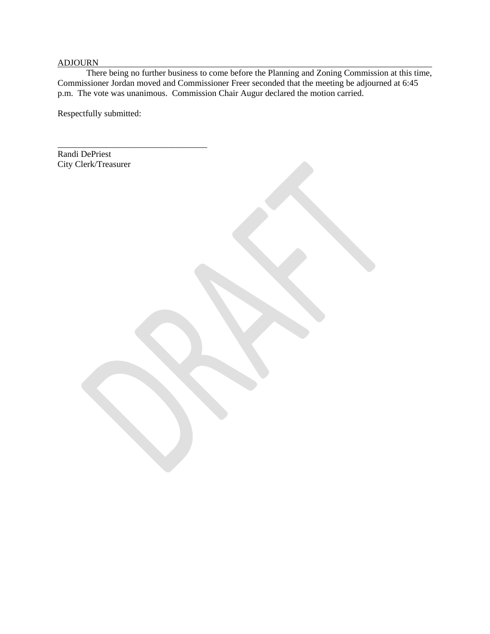# ADJOURN

There being no further business to come before the Planning and Zoning Commission at this time, Commissioner Jordan moved and Commissioner Freer seconded that the meeting be adjourned at 6:45 p.m. The vote was unanimous. Commission Chair Augur declared the motion carried.

Respectfully submitted:

\_\_\_\_\_\_\_\_\_\_\_\_\_\_\_\_\_\_\_\_\_\_\_\_\_\_\_\_\_\_\_\_\_\_

Randi DePriest City Clerk/Treasurer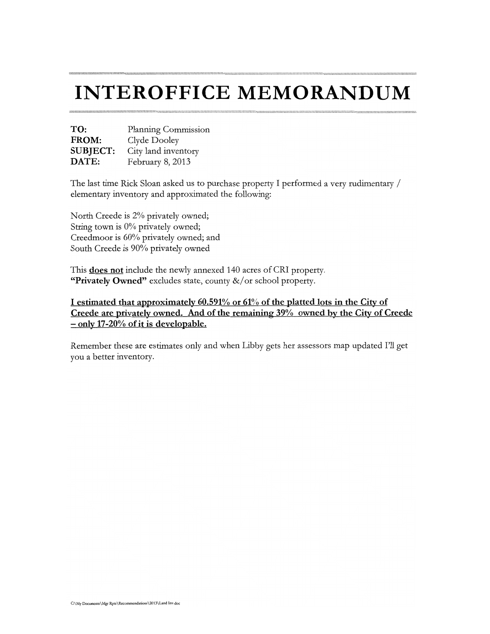# **INTEROFFICE MEMORANDUM**

| TO:             | Planning Commission |  |  |
|-----------------|---------------------|--|--|
| FROM:           | Clyde Dooley        |  |  |
| <b>SUBJECT:</b> | City land inventory |  |  |
| DATE:           | February 8, 2013    |  |  |

The last time Rick Sloan asked us to purchase property I performed a very rudimentary / elementary inventory and approximated the following:

North Creede is 2% privately owned; String town is 0% privately owned; Creedmoor is 60% privately owned; and South Creede is 90% privately owned

This **does not** include the newly annexed 140 acres of CRI property. "Privately Owned" excludes state, county &/or school property.

I estimated that approximately 60.591% or 61% of the platted lots in the City of Creede are privately owned. And of the remaining 39% owned by the City of Creede  $-$  only 17-20% of it is developable.

Remember these are estimates only and when Libby gets her assessors map updated I'll get you a better inventory.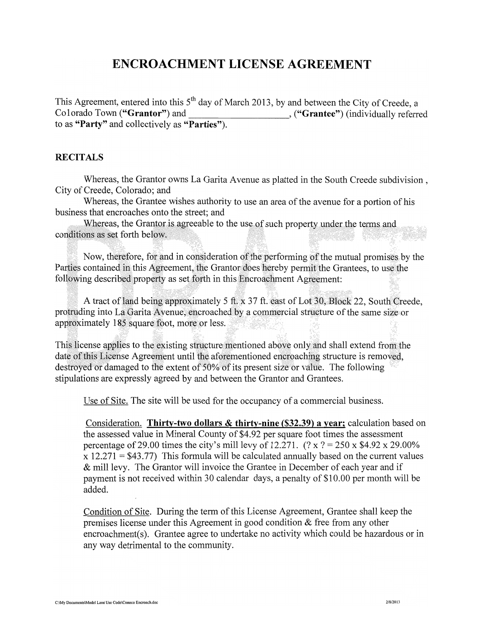# **ENCROACHMENT LICENSE AGREEMENT**

This Agreement, entered into this 5<sup>th</sup> day of March 2013, by and between the City of Creede, a Colorado Town ("Grantor") and <br>
("Grantee") (individually referred to as "Party" and collectively as "Parties").

# **RECITALS**

Whereas, the Grantor owns La Garita Avenue as platted in the South Creede subdivision. City of Creede, Colorado; and

Whereas, the Grantee wishes authority to use an area of the avenue for a portion of his business that encroaches onto the street; and

Whereas, the Grantor is agreeable to the use of such property under the terms and conditions as set forth below.

Now, therefore, for and in consideration of the performing of the mutual promises by the Parties contained in this Agreement, the Grantor does hereby permit the Grantees, to use the following described property as set forth in this Encroachment Agreement:

A tract of land being approximately 5 ft, x 37 ft. east of Lot 30, Block 22, South Creede, protruding into La Garita Avenue, encroached by a commercial structure of the same size or approximately 185 square foot, more or less.

This license applies to the existing structure mentioned above only and shall extend from the date of this License Agreement until the aforementioned encroaching structure is removed, destroved or damaged to the extent of 50% of its present size or value. The following stipulations are expressly agreed by and between the Grantor and Grantees.

Use of Site. The site will be used for the occupancy of a commercial business.

Consideration. Thirty-two dollars & thirty-nine (\$32.39) a year; calculation based on the assessed value in Mineral County of \$4.92 per square foot times the assessment percentage of 29.00 times the city's mill levy of 12.271.  $(?x ? = 250x $4.92x 29.00\%$  $x 12.271 = $43.77$ ) This formula will be calculated annually based on the current values & mill levy. The Grantor will invoice the Grantee in December of each year and if payment is not received within 30 calendar days, a penalty of \$10.00 per month will be added.

Condition of Site. During the term of this License Agreement, Grantee shall keep the premises license under this Agreement in good condition  $\&$  free from any other encroachment(s). Grantee agree to undertake no activity which could be hazardous or in any way detrimental to the community.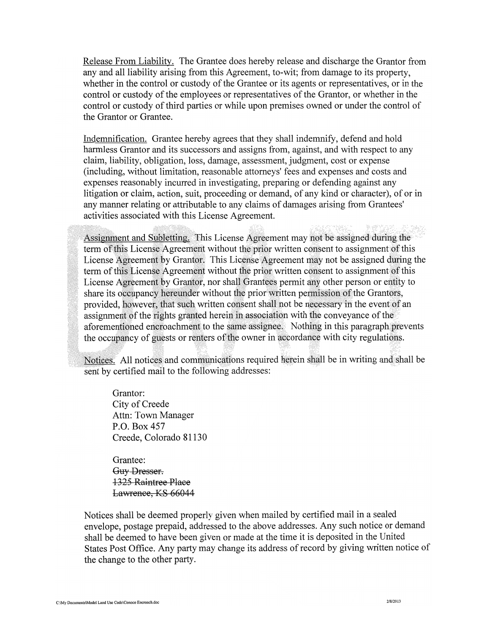Release From Liability. The Grantee does hereby release and discharge the Grantor from any and all liability arising from this Agreement, to-wit; from damage to its property, whether in the control or custody of the Grantee or its agents or representatives, or in the control or custody of the employees or representatives of the Grantor, or whether in the control or custody of third parties or while upon premises owned or under the control of the Grantor or Grantee.

Indemnification. Grantee hereby agrees that they shall indemnify, defend and hold harmless Grantor and its successors and assigns from, against, and with respect to any claim, liability, obligation, loss, damage, assessment, judgment, cost or expense (including, without limitation, reasonable attorneys' fees and expenses and costs and expenses reasonably incurred in investigating, preparing or defending against any litigation or claim, action, suit, proceeding or demand, of any kind or character), of or in any manner relating or attributable to any claims of damages arising from Grantees' activities associated with this License Agreement.

Assignment and Subletting. This License Agreement may not be assigned during the term of this License Agreement without the prior written consent to assignment of this License Agreement by Grantor. This License Agreement may not be assigned during the term of this License Agreement without the prior written consent to assignment of this License Agreement by Grantor, nor shall Grantees permit any other person or entity to share its occupancy hereunder without the prior written permission of the Grantors, provided, however, that such written consent shall not be necessary in the event of an assignment of the rights granted herein in association with the conveyance of the aforementioned encroachment to the same assignee. Nothing in this paragraph prevents the occupancy of guests or renters of the owner in accordance with city regulations.

Notices. All notices and communications required herein shall be in writing and shall be sent by certified mail to the following addresses:

Grantor: City of Creede Attn: Town Manager P.O. Box 457 Creede, Colorado 81130

Grantee: Guy-Dresser. **1325 Raintree Place** Lawrence, KS 66044

Notices shall be deemed properly given when mailed by certified mail in a sealed envelope, postage prepaid, addressed to the above addresses. Any such notice or demand shall be deemed to have been given or made at the time it is deposited in the United States Post Office. Any party may change its address of record by giving written notice of the change to the other party.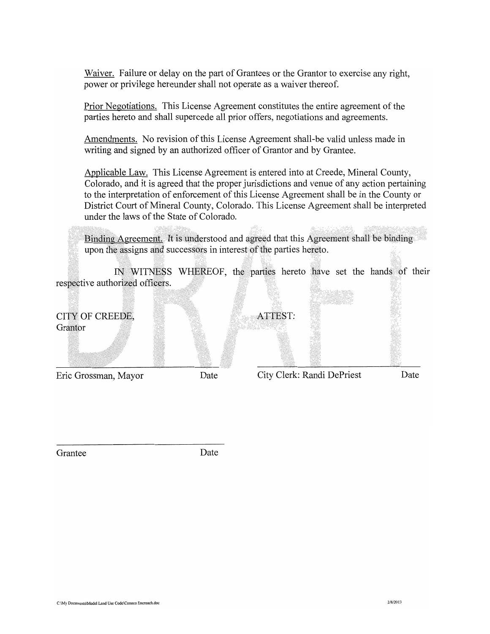Waiver. Failure or delay on the part of Grantees or the Grantor to exercise any right, power or privilege hereunder shall not operate as a waiver thereof.

Prior Negotiations. This License Agreement constitutes the entire agreement of the parties hereto and shall supercede all prior offers, negotiations and agreements.

Amendments. No revision of this License Agreement shall-be valid unless made in writing and signed by an authorized officer of Grantor and by Grantee.

Applicable Law. This License Agreement is entered into at Creede, Mineral County, Colorado, and it is agreed that the proper jurisdictions and venue of any action pertaining to the interpretation of enforcement of this License Agreement shall be in the County or District Court of Mineral County, Colorado. This License Agreement shall be interpreted under the laws of the State of Colorado.

Binding Agreement. It is understood and agreed that this Agreement shall be binding upon the assigns and successors in interest of the parties hereto.

IN WITNESS WHEREOF, the parties hereto have set the hands of their respective authorized officers.

| Eric Grossman, Mayor       | Date |                       | City Clerk: Randi DePriest | Date |
|----------------------------|------|-----------------------|----------------------------|------|
| CITY OF CREEDE,<br>Grantor |      | ATTEST:<br>e estimato |                            |      |

Grantee

Date